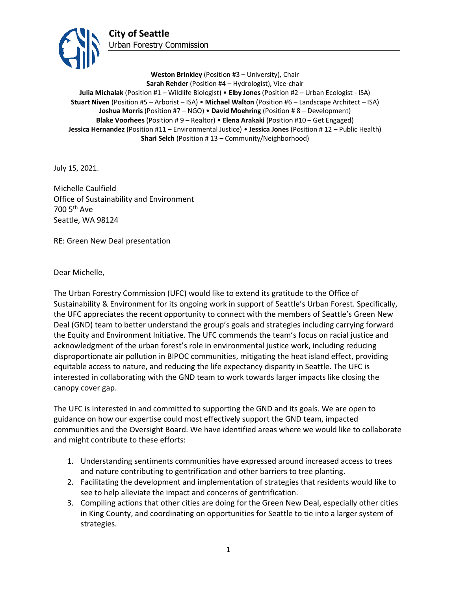

**Weston Brinkley** (Position #3 – University), Chair **Sarah Rehder** (Position #4 – Hydrologist), Vice-chair **Julia Michalak** (Position #1 – Wildlife Biologist) • **Elby Jones** (Position #2 – Urban Ecologist - ISA) **Stuart Niven** (Position #5 – Arborist – ISA) • **Michael Walton** (Position #6 – Landscape Architect – ISA) **Joshua Morris** (Position #7 – NGO) • **David Moehring** (Position # 8 – Development) **Blake Voorhees** (Position # 9 – Realtor) • **Elena Arakaki** (Position #10 – Get Engaged) **Jessica Hernandez** (Position #11 – Environmental Justice) • **Jessica Jones** (Position # 12 – Public Health) **Shari Selch** (Position #13 – Community/Neighborhood)

July 15, 2021.

Michelle Caulfield Office of Sustainability and Environment 700 5th Ave Seattle, WA 98124

RE: Green New Deal presentation

Dear Michelle,

The Urban Forestry Commission (UFC) would like to extend its gratitude to the Office of Sustainability & Environment for its ongoing work in support of Seattle's Urban Forest. Specifically, the UFC appreciates the recent opportunity to connect with the members of Seattle's Green New Deal (GND) team to better understand the group's goals and strategies including carrying forward the Equity and Environment Initiative. The UFC commends the team's focus on racial justice and acknowledgment of the urban forest's role in environmental justice work, including reducing disproportionate air pollution in BIPOC communities, mitigating the heat island effect, providing equitable access to nature, and reducing the life expectancy disparity in Seattle. The UFC is interested in collaborating with the GND team to work towards larger impacts like closing the canopy cover gap.

The UFC is interested in and committed to supporting the GND and its goals. We are open to guidance on how our expertise could most effectively support the GND team, impacted communities and the Oversight Board. We have identified areas where we would like to collaborate and might contribute to these efforts:

- 1. Understanding sentiments communities have expressed around increased access to trees and nature contributing to gentrification and other barriers to tree planting.
- 2. Facilitating the development and implementation of strategies that residents would like to see to help alleviate the impact and concerns of gentrification.
- 3. Compiling actions that other cities are doing for the Green New Deal, especially other cities in King County, and coordinating on opportunities for Seattle to tie into a larger system of strategies.